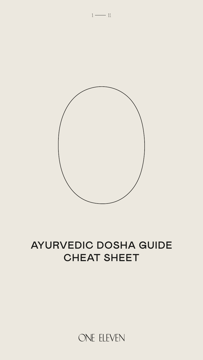



# AYURVEDIC DOSHA GUIDE CHEAT SHEET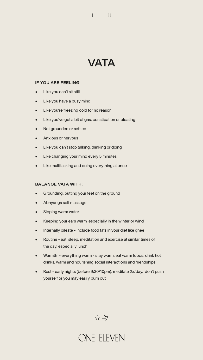# VATA

 $1 \longrightarrow 11$ 

#### IF YOU ARE FEELING:

- Like you can't sit still
- Like you have a busy mind
- Like you're freezing cold for no reason
- Like you've got a bit of gas, constipation or bloating
- Not grounded or settled
- Anxious or nervous
- Like you can't stop talking, thinking or doing
- Like changing your mind every 5 minutes
- Like multitasking and doing everything at once

#### BALANCE VATA WITH:

- Grounding: putting your feet on the ground
- 
- Abhyanga self massage
- Sipping warm water
- Keeping your ears warm especially in the winter or wind
- Internally oileate include food fats in your diet like ghee
- Routine eat, sleep, meditation and exercise at similar times of the day, especially lunch
- Warmth everything warm stay warm, eat warm foods, drink hot drinks, warm and nourishing social interactions and friendships
- Rest early nights (before 9:30/10pm), meditate 2x/day, don't push yourself or you may easily burn out

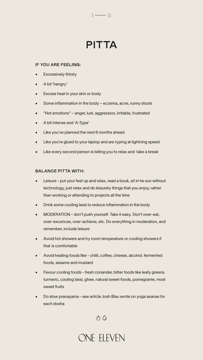### $1 \longrightarrow 11$

# PITTA

#### IF YOU ARE FEELING:

- **Excessively thirsty**
- A bit 'hangry'
- Excess heat in your skin or body
- Some inflammation in the body eczema, acne, runny stools
- "Hot emotions" anger, lust, aggression, irritable, frustrated
- A bit intense and 'A-Type'
- Like you've planned the next 6 months ahead
- Like you're glued to your laptop and are typing at lightning speed
- Like every second person is telling you to relax and take a break

#### BALANCE PITTA WITH:

- Leisure put your feet up and relax, read a book, sit in he sun without technology, just relax and do leisurely things that you enjoy, rather than working or attending to projects all the time
- Drink some cooling lassi to reduce inflammation in the body
- MODERATION don't push yourself. Take it easy. Don't over-eat, over-excericse, over-achieve, etc. Do everything in moderation, and remember, include leisure
- Avoid hot showers and try room temperature or cooling showers if that is comfortable
- Avoid heating foods like chilli, coffee, cheese, alcohol, fermented foods, sesame and mustard
- Favour cooling foods fresh coriander, bitter foods like leafy greens, turmeric, cooling lassi, ghee, natural sweet foods, pomegrante, most sweet fruits
- Do slow pranayama see article Josh Blau wrote on yoga asanas for each dosha